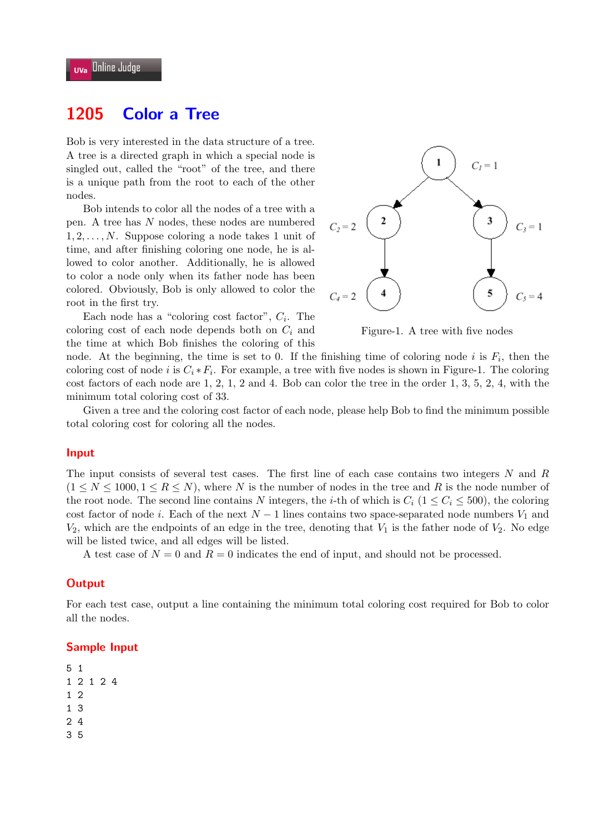# **1205 Color a Tree**

Bob is very interested in the data structure of a tree. A tree is a directed graph in which a special node is singled out, called the "root" of the tree, and there is a unique path from the root to each of the other nodes.

Bob intends to color all the nodes of a tree with a pen. A tree has *N* nodes, these nodes are numbered 1*,* 2*, . . . , N*. Suppose coloring a node takes 1 unit of time, and after finishing coloring one node, he is allowed to color another. Additionally, he is allowed to color a node only when its father node has been colored. Obviously, Bob is only allowed to color the root in the first try.

Each node has a "coloring cost factor", *C<sup>i</sup>* . The coloring cost of each node depends both on *C<sup>i</sup>* and the time at which Bob finishes the coloring of this



Figure-1. A tree with five nodes

node. At the beginning, the time is set to 0. If the finishing time of coloring node  $i$  is  $F_i$ , then the coloring cost of node *i* is  $C_i * F_i$ . For example, a tree with five nodes is shown in Figure-1. The coloring cost factors of each node are 1, 2, 1, 2 and 4. Bob can color the tree in the order 1, 3, 5, 2, 4, with the minimum total coloring cost of 33.

Given a tree and the coloring cost factor of each node, please help Bob to find the minimum possible total coloring cost for coloring all the nodes.

### **Input**

The input consists of several test cases. The first line of each case contains two integers *N* and *R*  $(1 \leq N \leq 1000, 1 \leq R \leq N)$ , where *N* is the number of nodes in the tree and *R* is the node number of the root node. The second line contains *N* integers, the *i*-th of which is  $C_i$  ( $1 \le C_i \le 500$ ), the coloring cost factor of node *i*. Each of the next  $N-1$  lines contains two space-separated node numbers  $V_1$  and  $V_2$ , which are the endpoints of an edge in the tree, denoting that  $V_1$  is the father node of  $V_2$ . No edge will be listed twice, and all edges will be listed.

A test case of  $N = 0$  and  $R = 0$  indicates the end of input, and should not be processed.

### **Output**

For each test case, output a line containing the minimum total coloring cost required for Bob to color all the nodes.

#### **Sample Input**